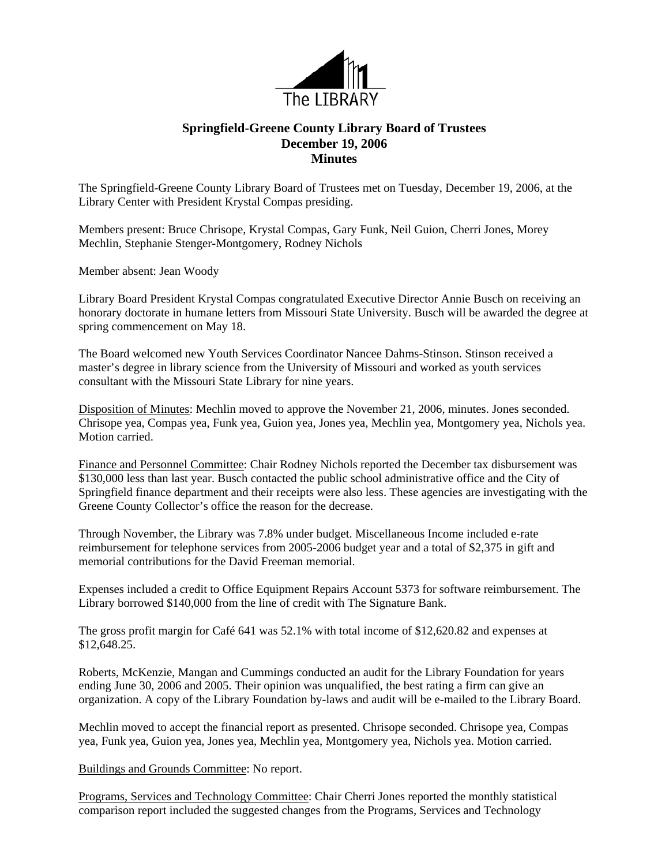

## **Springfield-Greene County Library Board of Trustees December 19, 2006 Minutes**

The Springfield-Greene County Library Board of Trustees met on Tuesday, December 19, 2006, at the Library Center with President Krystal Compas presiding.

Members present: Bruce Chrisope, Krystal Compas, Gary Funk, Neil Guion, Cherri Jones, Morey Mechlin, Stephanie Stenger-Montgomery, Rodney Nichols

Member absent: Jean Woody

Library Board President Krystal Compas congratulated Executive Director Annie Busch on receiving an honorary doctorate in humane letters from Missouri State University. Busch will be awarded the degree at spring commencement on May 18.

The Board welcomed new Youth Services Coordinator Nancee Dahms-Stinson. Stinson received a master's degree in library science from the University of Missouri and worked as youth services consultant with the Missouri State Library for nine years.

Disposition of Minutes: Mechlin moved to approve the November 21, 2006, minutes. Jones seconded. Chrisope yea, Compas yea, Funk yea, Guion yea, Jones yea, Mechlin yea, Montgomery yea, Nichols yea. Motion carried.

Finance and Personnel Committee: Chair Rodney Nichols reported the December tax disbursement was \$130,000 less than last year. Busch contacted the public school administrative office and the City of Springfield finance department and their receipts were also less. These agencies are investigating with the Greene County Collector's office the reason for the decrease.

Through November, the Library was 7.8% under budget. Miscellaneous Income included e-rate reimbursement for telephone services from 2005-2006 budget year and a total of \$2,375 in gift and memorial contributions for the David Freeman memorial.

Expenses included a credit to Office Equipment Repairs Account 5373 for software reimbursement. The Library borrowed \$140,000 from the line of credit with The Signature Bank.

The gross profit margin for Café 641 was 52.1% with total income of \$12,620.82 and expenses at \$12,648.25.

Roberts, McKenzie, Mangan and Cummings conducted an audit for the Library Foundation for years ending June 30, 2006 and 2005. Their opinion was unqualified, the best rating a firm can give an organization. A copy of the Library Foundation by-laws and audit will be e-mailed to the Library Board.

Mechlin moved to accept the financial report as presented. Chrisope seconded. Chrisope yea, Compas yea, Funk yea, Guion yea, Jones yea, Mechlin yea, Montgomery yea, Nichols yea. Motion carried.

Buildings and Grounds Committee: No report.

Programs, Services and Technology Committee: Chair Cherri Jones reported the monthly statistical comparison report included the suggested changes from the Programs, Services and Technology